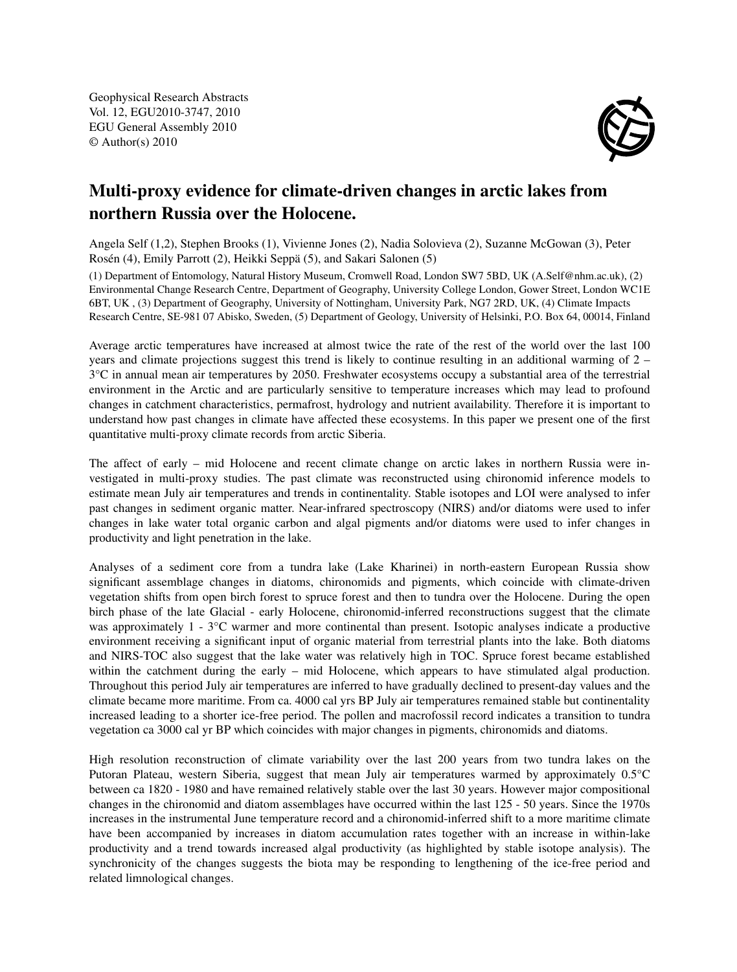Geophysical Research Abstracts Vol. 12, EGU2010-3747, 2010 EGU General Assembly 2010 © Author(s) 2010



## Multi-proxy evidence for climate-driven changes in arctic lakes from northern Russia over the Holocene.

Angela Self (1,2), Stephen Brooks (1), Vivienne Jones (2), Nadia Solovieva (2), Suzanne McGowan (3), Peter Rosén (4), Emily Parrott (2), Heikki Seppä (5), and Sakari Salonen (5)

(1) Department of Entomology, Natural History Museum, Cromwell Road, London SW7 5BD, UK (A.Self@nhm.ac.uk), (2) Environmental Change Research Centre, Department of Geography, University College London, Gower Street, London WC1E 6BT, UK , (3) Department of Geography, University of Nottingham, University Park, NG7 2RD, UK, (4) Climate Impacts Research Centre, SE-981 07 Abisko, Sweden, (5) Department of Geology, University of Helsinki, P.O. Box 64, 00014, Finland

Average arctic temperatures have increased at almost twice the rate of the rest of the world over the last 100 years and climate projections suggest this trend is likely to continue resulting in an additional warming of 2 – 3°C in annual mean air temperatures by 2050. Freshwater ecosystems occupy a substantial area of the terrestrial environment in the Arctic and are particularly sensitive to temperature increases which may lead to profound changes in catchment characteristics, permafrost, hydrology and nutrient availability. Therefore it is important to understand how past changes in climate have affected these ecosystems. In this paper we present one of the first quantitative multi-proxy climate records from arctic Siberia.

The affect of early – mid Holocene and recent climate change on arctic lakes in northern Russia were investigated in multi-proxy studies. The past climate was reconstructed using chironomid inference models to estimate mean July air temperatures and trends in continentality. Stable isotopes and LOI were analysed to infer past changes in sediment organic matter. Near-infrared spectroscopy (NIRS) and/or diatoms were used to infer changes in lake water total organic carbon and algal pigments and/or diatoms were used to infer changes in productivity and light penetration in the lake.

Analyses of a sediment core from a tundra lake (Lake Kharinei) in north-eastern European Russia show significant assemblage changes in diatoms, chironomids and pigments, which coincide with climate-driven vegetation shifts from open birch forest to spruce forest and then to tundra over the Holocene. During the open birch phase of the late Glacial - early Holocene, chironomid-inferred reconstructions suggest that the climate was approximately 1 - 3<sup>o</sup>C warmer and more continental than present. Isotopic analyses indicate a productive environment receiving a significant input of organic material from terrestrial plants into the lake. Both diatoms and NIRS-TOC also suggest that the lake water was relatively high in TOC. Spruce forest became established within the catchment during the early – mid Holocene, which appears to have stimulated algal production. Throughout this period July air temperatures are inferred to have gradually declined to present-day values and the climate became more maritime. From ca. 4000 cal yrs BP July air temperatures remained stable but continentality increased leading to a shorter ice-free period. The pollen and macrofossil record indicates a transition to tundra vegetation ca 3000 cal yr BP which coincides with major changes in pigments, chironomids and diatoms.

High resolution reconstruction of climate variability over the last 200 years from two tundra lakes on the Putoran Plateau, western Siberia, suggest that mean July air temperatures warmed by approximately 0.5°C between ca 1820 - 1980 and have remained relatively stable over the last 30 years. However major compositional changes in the chironomid and diatom assemblages have occurred within the last 125 - 50 years. Since the 1970s increases in the instrumental June temperature record and a chironomid-inferred shift to a more maritime climate have been accompanied by increases in diatom accumulation rates together with an increase in within-lake productivity and a trend towards increased algal productivity (as highlighted by stable isotope analysis). The synchronicity of the changes suggests the biota may be responding to lengthening of the ice-free period and related limnological changes.